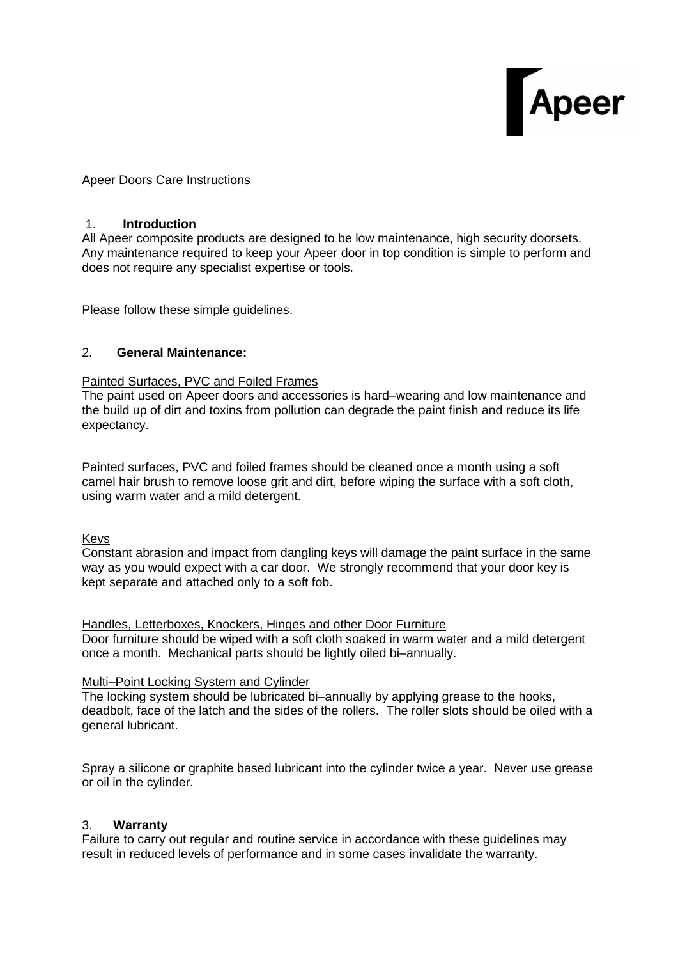

Apeer Doors Care Instructions

## 1. **Introduction**

All Apeer composite products are designed to be low maintenance, high security doorsets. Any maintenance required to keep your Apeer door in top condition is simple to perform and does not require any specialist expertise or tools.

Please follow these simple guidelines.

## 2. **General Maintenance:**

## Painted Surfaces, PVC and Foiled Frames

The paint used on Apeer doors and accessories is hard–wearing and low maintenance and the build up of dirt and toxins from pollution can degrade the paint finish and reduce its life expectancy.

Painted surfaces, PVC and foiled frames should be cleaned once a month using a soft camel hair brush to remove loose grit and dirt, before wiping the surface with a soft cloth, using warm water and a mild detergent.

# Keys

Constant abrasion and impact from dangling keys will damage the paint surface in the same way as you would expect with a car door. We strongly recommend that your door key is kept separate and attached only to a soft fob.

Handles, Letterboxes, Knockers, Hinges and other Door Furniture

Door furniture should be wiped with a soft cloth soaked in warm water and a mild detergent once a month. Mechanical parts should be lightly oiled bi–annually.

#### Multi–Point Locking System and Cylinder

The locking system should be lubricated bi–annually by applying grease to the hooks, deadbolt, face of the latch and the sides of the rollers. The roller slots should be oiled with a general lubricant.

Spray a silicone or graphite based lubricant into the cylinder twice a year. Never use grease or oil in the cylinder.

# 3. **Warranty**

Failure to carry out regular and routine service in accordance with these guidelines may result in reduced levels of performance and in some cases invalidate the warranty.